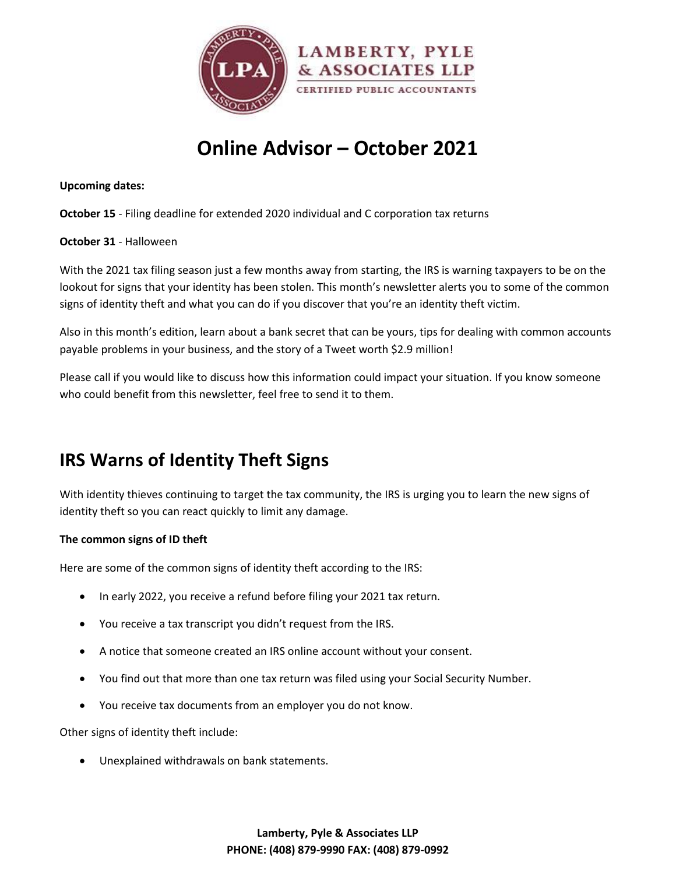

# **Online Advisor – October 2021**

#### **Upcoming dates:**

**October 15** - Filing deadline for extended 2020 individual and C corporation tax returns

#### **October 31** - Halloween

With the 2021 tax filing season just a few months away from starting, the IRS is warning taxpayers to be on the lookout for signs that your identity has been stolen. This month's newsletter alerts you to some of the common signs of identity theft and what you can do if you discover that you're an identity theft victim.

Also in this month's edition, learn about a bank secret that can be yours, tips for dealing with common accounts payable problems in your business, and the story of a Tweet worth \$2.9 million!

Please call if you would like to discuss how this information could impact your situation. If you know someone who could benefit from this newsletter, feel free to send it to them.

# **IRS Warns of Identity Theft Signs**

With identity thieves continuing to target the tax community, the IRS is urging you to learn the new signs of identity theft so you can react quickly to limit any damage.

## **The common signs of ID theft**

Here are some of the common signs of identity theft according to the IRS:

- In early 2022, you receive a refund before filing your 2021 tax return.
- You receive a tax transcript you didn't request from the IRS.
- A notice that someone created an IRS online account without your consent.
- You find out that more than one tax return was filed using your Social Security Number.
- You receive tax documents from an employer you do not know.

Other signs of identity theft include:

Unexplained withdrawals on bank statements.

**Lamberty, Pyle & Associates LLP PHONE: (408) 879-9990 FAX: (408) 879-0992**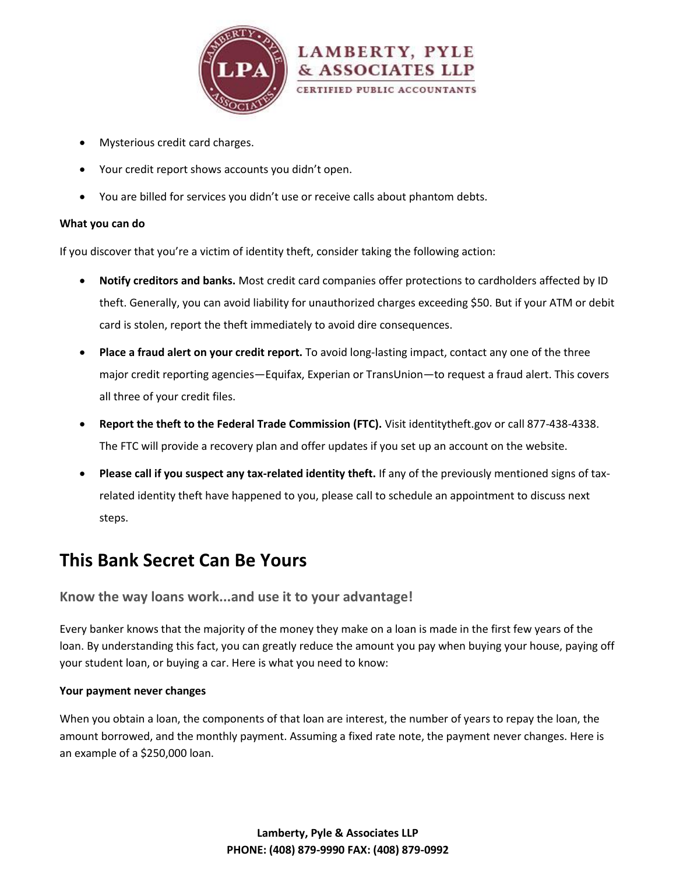

- Mysterious credit card charges.
- Your credit report shows accounts you didn't open.
- You are billed for services you didn't use or receive calls about phantom debts.

#### **What you can do**

If you discover that you're a victim of identity theft, consider taking the following action:

- **Notify creditors and banks.** Most credit card companies offer protections to cardholders affected by ID theft. Generally, you can avoid liability for unauthorized charges exceeding \$50. But if your ATM or debit card is stolen, report the theft immediately to avoid dire consequences.
- **Place a fraud alert on your credit report.** To avoid long-lasting impact, contact any one of the three major credit reporting agencies—Equifax, Experian or TransUnion—to request a fraud alert. This covers all three of your credit files.
- **Report the theft to the Federal Trade Commission (FTC).** Visit [identitytheft.gov](http://identitytheft.gov/) or call 877-438-4338. The FTC will provide a recovery plan and offer updates if you set up an account on the website.
- **Please call if you suspect any tax-related identity theft.** If any of the previously mentioned signs of taxrelated identity theft have happened to you, please call to schedule an appointment to discuss next steps.

# **This Bank Secret Can Be Yours**

**Know the way loans work...and use it to your advantage!**

Every banker knows that the majority of the money they make on a loan is made in the first few years of the loan. By understanding this fact, you can greatly reduce the amount you pay when buying your house, paying off your student loan, or buying a car. Here is what you need to know:

## **Your payment never changes**

When you obtain a loan, the components of that loan are interest, the number of years to repay the loan, the amount borrowed, and the monthly payment. Assuming a fixed rate note, the payment never changes. Here is an example of a \$250,000 loan.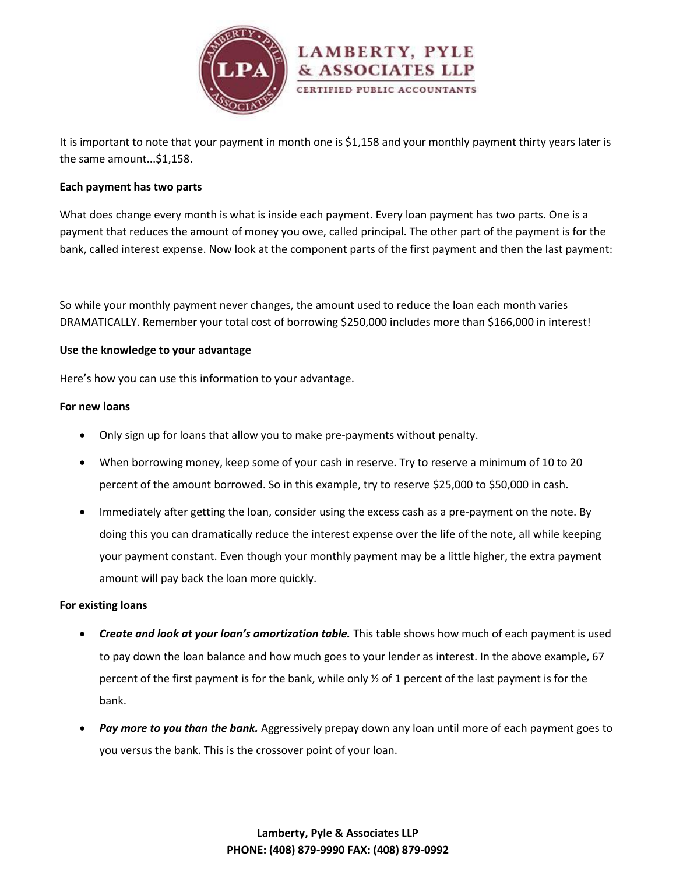

It is important to note that your payment in month one is \$1,158 and your monthly payment thirty years later is the same amount...\$1,158.

#### **Each payment has two parts**

What does change every month is what is inside each payment. Every loan payment has two parts. One is a payment that reduces the amount of money you owe, called principal. The other part of the payment is for the bank, called interest expense. Now look at the component parts of the first payment and then the last payment:

So while your monthly payment never changes, the amount used to reduce the loan each month varies DRAMATICALLY. Remember your total cost of borrowing \$250,000 includes more than \$166,000 in interest!

#### **Use the knowledge to your advantage**

Here's how you can use this information to your advantage.

#### **For new loans**

- Only sign up for loans that allow you to make pre-payments without penalty.
- When borrowing money, keep some of your cash in reserve. Try to reserve a minimum of 10 to 20 percent of the amount borrowed. So in this example, try to reserve \$25,000 to \$50,000 in cash.
- Immediately after getting the loan, consider using the excess cash as a pre-payment on the note. By doing this you can dramatically reduce the interest expense over the life of the note, all while keeping your payment constant. Even though your monthly payment may be a little higher, the extra payment amount will pay back the loan more quickly.

#### **For existing loans**

- *Create and look at your loan's amortization table.* This table shows how much of each payment is used to pay down the loan balance and how much goes to your lender as interest. In the above example, 67 percent of the first payment is for the bank, while only ½ of 1 percent of the last payment is for the bank.
- *Pay more to you than the bank.* Aggressively prepay down any loan until more of each payment goes to you versus the bank. This is the crossover point of your loan.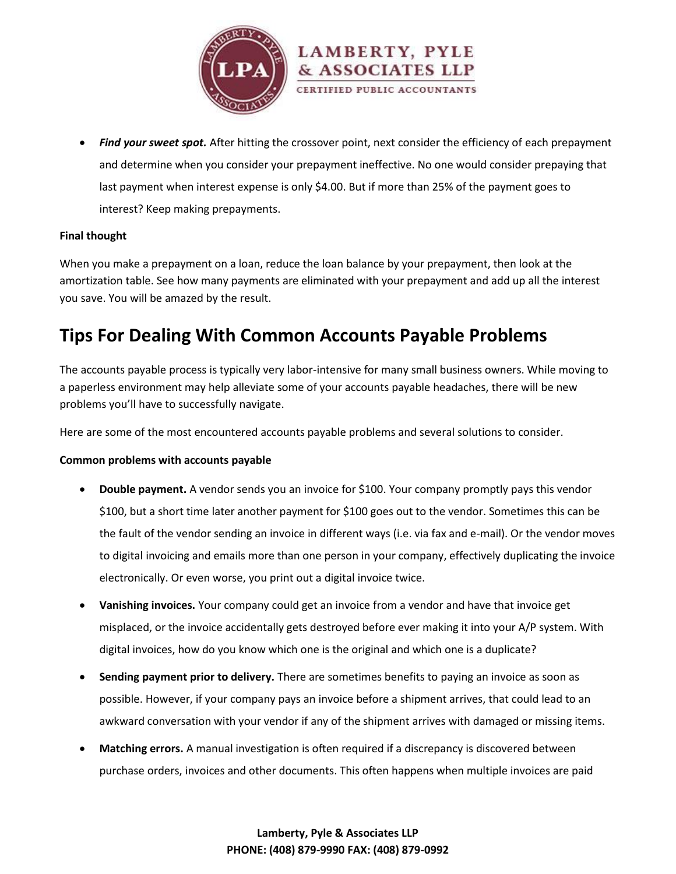

 *Find your sweet spot.* After hitting the crossover point, next consider the efficiency of each prepayment and determine when you consider your prepayment ineffective. No one would consider prepaying that last payment when interest expense is only \$4.00. But if more than 25% of the payment goes to interest? Keep making prepayments.

#### **Final thought**

When you make a prepayment on a loan, reduce the loan balance by your prepayment, then look at the amortization table. See how many payments are eliminated with your prepayment and add up all the interest you save. You will be amazed by the result.

# **Tips For Dealing With Common Accounts Payable Problems**

The accounts payable process is typically very labor-intensive for many small business owners. While moving to a paperless environment may help alleviate some of your accounts payable headaches, there will be new problems you'll have to successfully navigate.

Here are some of the most encountered accounts payable problems and several solutions to consider.

#### **Common problems with accounts payable**

- **Double payment.** A vendor sends you an invoice for \$100. Your company promptly pays this vendor \$100, but a short time later another payment for \$100 goes out to the vendor. Sometimes this can be the fault of the vendor sending an invoice in different ways (i.e. via fax and e-mail). Or the vendor moves to digital invoicing and emails more than one person in your company, effectively duplicating the invoice electronically. Or even worse, you print out a digital invoice twice.
- **Vanishing invoices.** Your company could get an invoice from a vendor and have that invoice get misplaced, or the invoice accidentally gets destroyed before ever making it into your A/P system. With digital invoices, how do you know which one is the original and which one is a duplicate?
- **Sending payment prior to delivery.** There are sometimes benefits to paying an invoice as soon as possible. However, if your company pays an invoice before a shipment arrives, that could lead to an awkward conversation with your vendor if any of the shipment arrives with damaged or missing items.
- **Matching errors.** A manual investigation is often required if a discrepancy is discovered between purchase orders, invoices and other documents. This often happens when multiple invoices are paid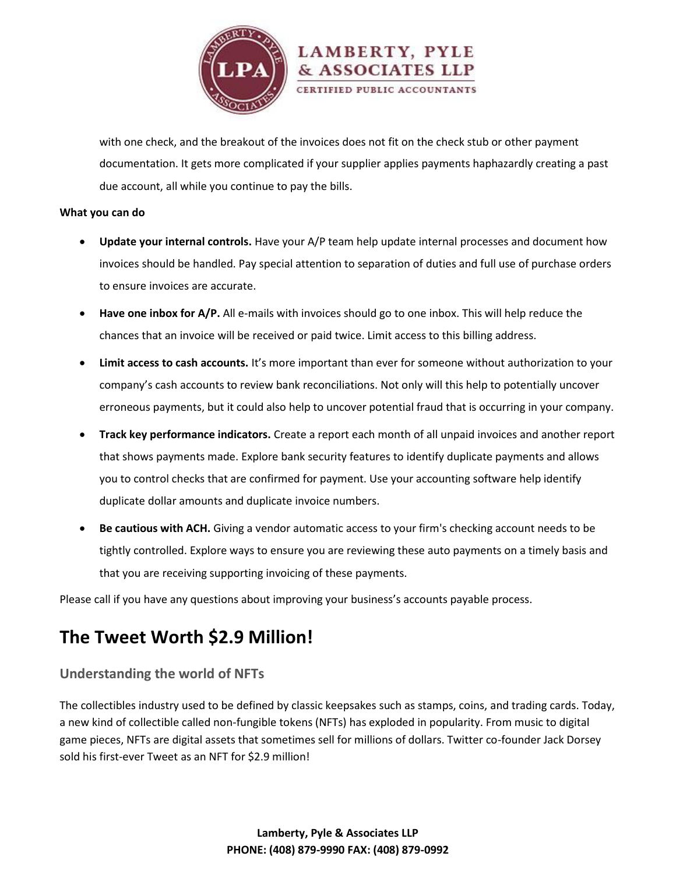

with one check, and the breakout of the invoices does not fit on the check stub or other payment documentation. It gets more complicated if your supplier applies payments haphazardly creating a past due account, all while you continue to pay the bills.

#### **What you can do**

- **Update your internal controls.** Have your A/P team help update internal processes and document how invoices should be handled. Pay special attention to separation of duties and full use of purchase orders to ensure invoices are accurate.
- **Have one inbox for A/P.** All e-mails with invoices should go to one inbox. This will help reduce the chances that an invoice will be received or paid twice. Limit access to this billing address.
- **Limit access to cash accounts.** It's more important than ever for someone without authorization to your company's cash accounts to review bank reconciliations. Not only will this help to potentially uncover erroneous payments, but it could also help to uncover potential fraud that is occurring in your company.
- **Track key performance indicators.** Create a report each month of all unpaid invoices and another report that shows payments made. Explore bank security features to identify duplicate payments and allows you to control checks that are confirmed for payment. Use your accounting software help identify duplicate dollar amounts and duplicate invoice numbers.
- **Be cautious with ACH.** Giving a vendor automatic access to your firm's checking account needs to be tightly controlled. Explore ways to ensure you are reviewing these auto payments on a timely basis and that you are receiving supporting invoicing of these payments.

Please call if you have any questions about improving your business's accounts payable process.

# **The Tweet Worth \$2.9 Million!**

## **Understanding the world of NFTs**

The collectibles industry used to be defined by classic keepsakes such as stamps, coins, and trading cards. Today, a new kind of collectible called non-fungible tokens (NFTs) has exploded in popularity. From music to digital game pieces, NFTs are digital assets that sometimes sell for millions of dollars. Twitter co-founder Jack Dorsey [sold his first-ever Tweet](https://www.cnbc.com/2021/03/22/jack-dorsey-sells-his-first-tweet-ever-as-an-nft-for-over-2point9-million.html) as an NFT for \$2.9 million!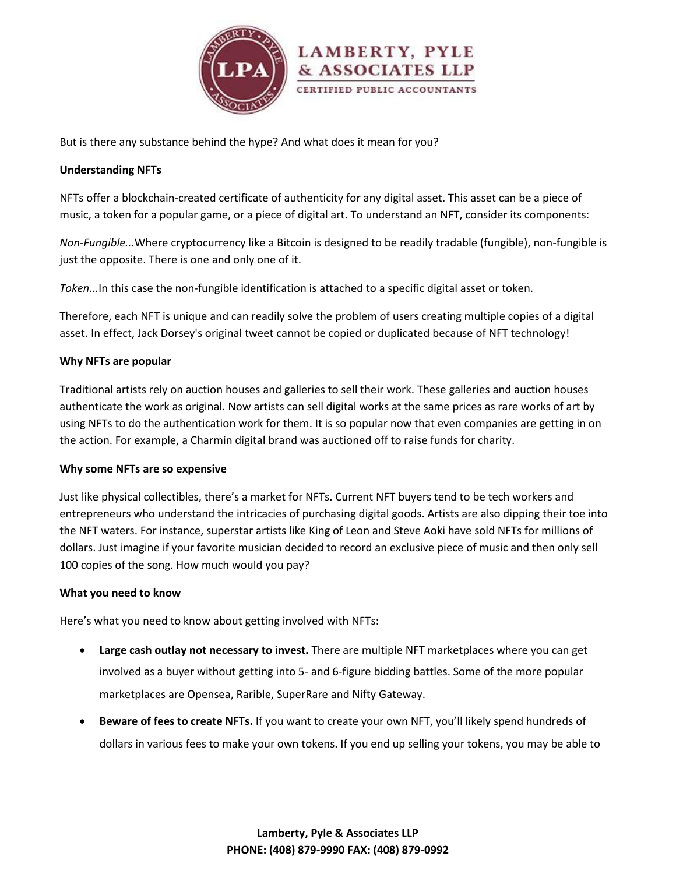

But is there any substance behind the hype? And what does it mean for you?

#### **Understanding NFTs**

NFTs offer a blockchain-created certificate of authenticity for any digital asset. This asset can be a piece of music, a token for a popular game, or a piece of digital art. To understand an NFT, consider its components:

*Non-Fungible...*Where cryptocurrency like a Bitcoin is designed to be readily tradable (fungible), non-fungible is just the opposite. There is one and only one of it.

*Token...*In this case the non-fungible identification is attached to a specific digital asset or token.

Therefore, each NFT is unique and can readily solve the problem of users creating multiple copies of a digital asset. In effect, Jack Dorsey's original tweet cannot be copied or duplicated because of NFT technology!

#### **Why NFTs are popular**

Traditional artists rely on auction houses and galleries to sell their work. These galleries and auction houses authenticate the work as original. Now artists can sell digital works at the same prices as rare works of art by using NFTs to do the authentication work for them. It is so popular now that even companies are getting in on the action. For example, a Charmin digital brand was auctioned off to raise funds for charity.

#### **Why some NFTs are so expensive**

Just like physical collectibles, there's a market for NFTs. Current NFT buyers tend to be tech workers and entrepreneurs who understand the intricacies of purchasing digital goods. Artists are also dipping their toe into the NFT waters. For instance, superstar artists like King of Leon and Steve Aoki have sold NFTs for millions of dollars. Just imagine if your favorite musician decided to record an exclusive piece of music and then only sell 100 copies of the song. How much would you pay?

#### **What you need to know**

Here's what you need to know about getting involved with NFTs:

- **Large cash outlay not necessary to invest.** There are multiple NFT marketplaces where you can get involved as a buyer without getting into 5- and 6-figure bidding battles. Some of the more popular marketplaces are Opensea, Rarible, SuperRare and Nifty Gateway.
- **Beware of fees to create NFTs.** If you want to create your own NFT, you'll likely spend hundreds of dollars in various fees to make your own tokens. If you end up selling your tokens, you may be able to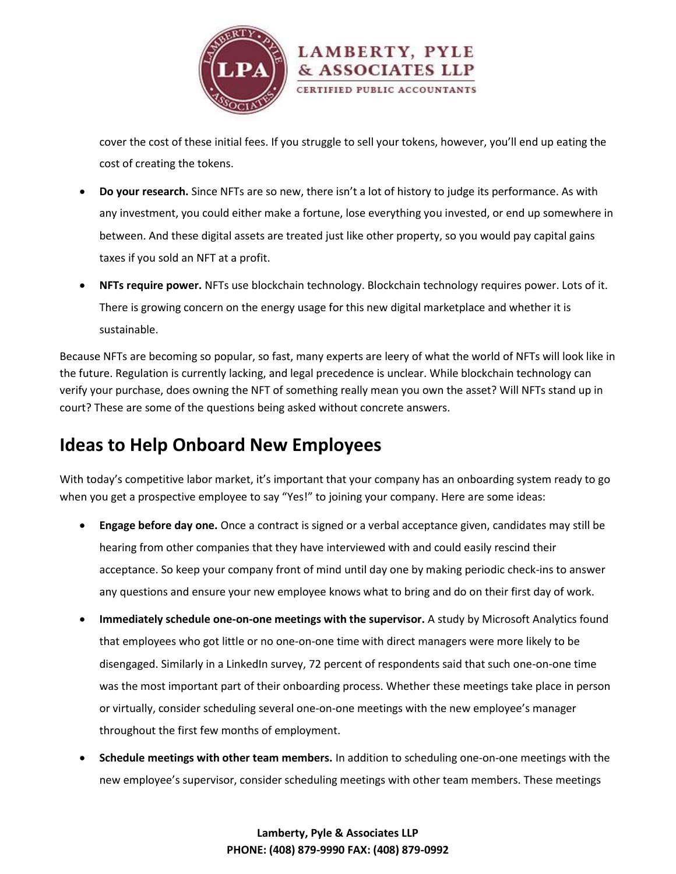

cover the cost of these initial fees. If you struggle to sell your tokens, however, you'll end up eating the cost of creating the tokens.

- **Do your research.** Since NFTs are so new, there isn't a lot of history to judge its performance. As with any investment, you could either make a fortune, lose everything you invested, or end up somewhere in between. And these digital assets are treated just like other property, so you would pay capital gains taxes if you sold an NFT at a profit.
- **NFTs require power.** NFTs use blockchain technology. Blockchain technology requires power. Lots of it. There is growing concern on the energy usage for this new digital marketplace and whether it is sustainable.

Because NFTs are becoming so popular, so fast, many experts are leery of what the world of NFTs will look like in the future. Regulation is currently lacking, and legal precedence is unclear. While blockchain technology can verify your purchase, does owning the NFT of something really mean you own the asset? Will NFTs stand up in court? These are some of the questions being asked without concrete answers.

# **Ideas to Help Onboard New Employees**

With today's competitive labor market, it's important that your company has an onboarding system ready to go when you get a prospective employee to say "Yes!" to joining your company. Here are some ideas:

- **Engage before day one.** Once a contract is signed or a verbal acceptance given, candidates may still be hearing from other companies that they have interviewed with and could easily rescind their acceptance. So keep your company front of mind until day one by making periodic check-ins to answer any questions and ensure your new employee knows what to bring and do on their first day of work.
- **Immediately schedule one-on-one meetings with the supervisor.** A study by Microsoft Analytics found that employees who got little or no one-on-one time with direct managers were more likely to be disengaged. Similarly in a LinkedIn survey, 72 percent of respondents said that such one-on-one time was the most important part of their onboarding process. Whether these meetings take place in person or virtually, consider scheduling several one-on-one meetings with the new employee's manager throughout the first few months of employment.
- **Schedule meetings with other team members.** In addition to scheduling one-on-one meetings with the new employee's supervisor, consider scheduling meetings with other team members. These meetings

**Lamberty, Pyle & Associates LLP PHONE: (408) 879-9990 FAX: (408) 879-0992**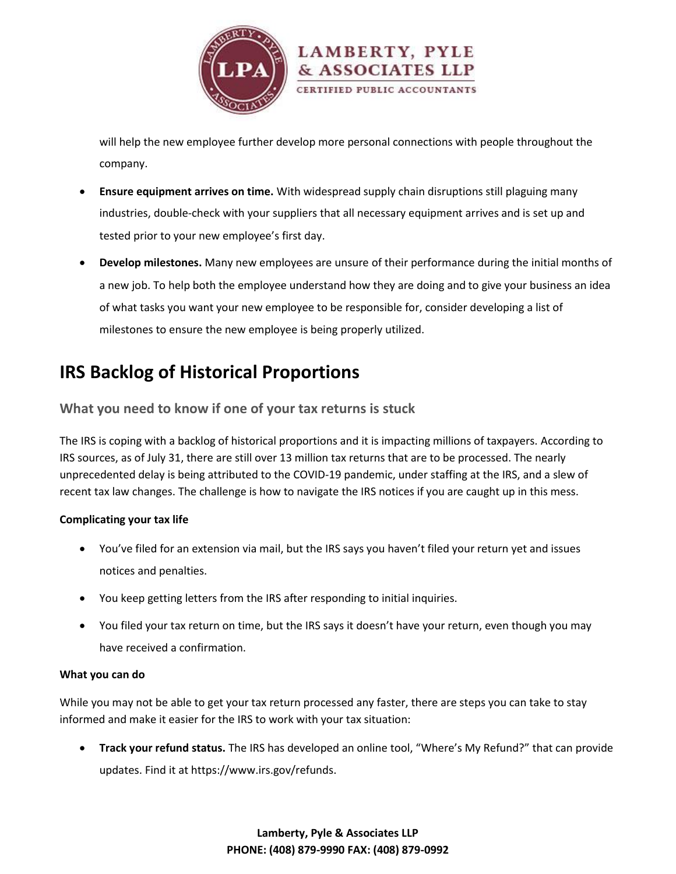

will help the new employee further develop more personal connections with people throughout the company.

- **Ensure equipment arrives on time.** With widespread supply chain disruptions still plaguing many industries, double-check with your suppliers that all necessary equipment arrives and is set up and tested prior to your new employee's first day.
- **Develop milestones.** Many new employees are unsure of their performance during the initial months of a new job. To help both the employee understand how they are doing and to give your business an idea of what tasks you want your new employee to be responsible for, consider developing a list of milestones to ensure the new employee is being properly utilized.

# **IRS Backlog of Historical Proportions**

## **What you need to know if one of your tax returns is stuck**

The IRS is coping with a backlog of historical proportions and it is impacting millions of taxpayers. According to IRS sources, as of July 31, there are still over 13 million tax returns that are to be processed. The nearly unprecedented delay is being attributed to the COVID-19 pandemic, under staffing at the IRS, and a slew of recent tax law changes. The challenge is how to navigate the IRS notices if you are caught up in this mess.

## **Complicating your tax life**

- You've filed for an extension via mail, but the IRS says you haven't filed your return yet and issues notices and penalties.
- You keep getting letters from the IRS after responding to initial inquiries.
- You filed your tax return on time, but the IRS says it doesn't have your return, even though you may have received a confirmation.

## **What you can do**

While you may not be able to get your tax return processed any faster, there are steps you can take to stay informed and make it easier for the IRS to work with your tax situation:

 **Track your refund status.** The IRS has developed an online tool, "Where's My Refund?" that can provide updates. Find it at [https://www.irs.gov/refunds.](https://www.irs.gov/refunds)